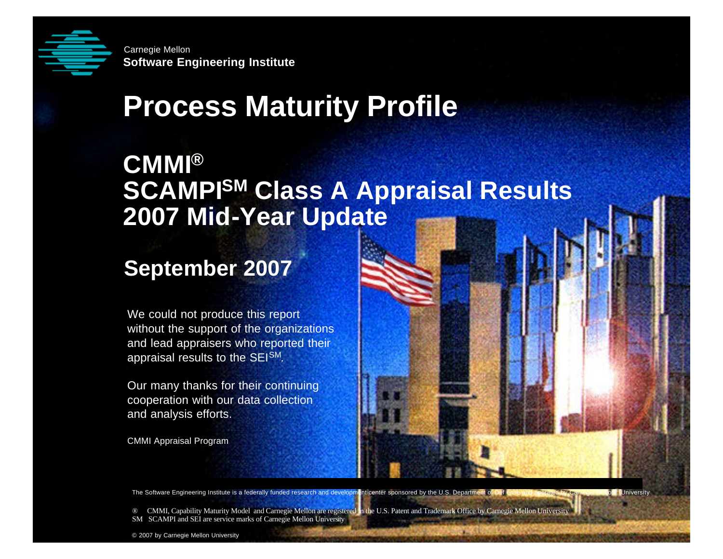

**Solution**<br> **Software Engineering Institute**<br> **Software Institute Software Engineering Institute** Carnegie Mellon

# **Process Maturity Profile**

### **CMMI® SCAMPISM Class A Appraisal Results 2007 Mid-Year Update**

#### **September 2007**

We could not produce this report without the support of the organizations and lead appraisers who reported their appraisal results to the SEISM.

Our many thanks for their continuing cooperation with our data collection and analysis efforts.

CMMI Appraisal Program

The Software Engineering Institute is a federally funded research and development center sponsored by the U.S. Department of Def ense and operated by Carnegie Mellon® University

® CMMI, Capability Maturity Model and Carnegie Mellon are registered in the U.S. Patent and Trademark Office by Carnegie Mellon University SM SCAMPI and SEI are service marks of Carnegie Mellon University

**© 2007 by Carnegie Mellon University September 2007 Process Maturity Profile - Page 1** © 2007 by Carnegie Mellon University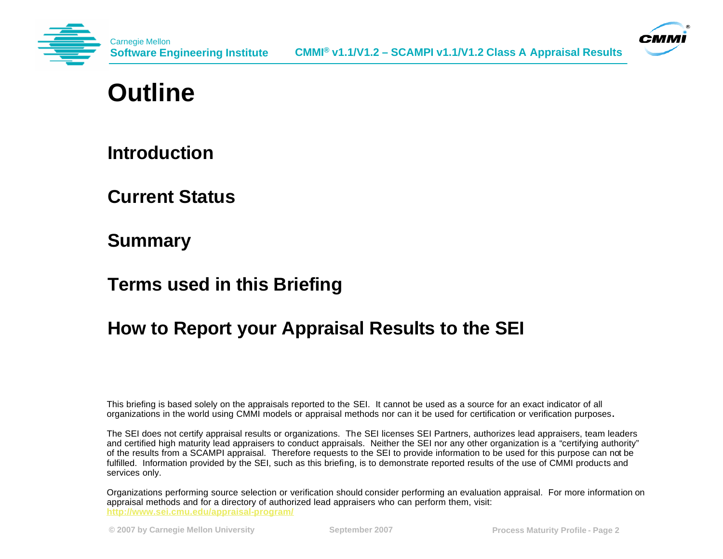



### **Outline**

**Introduction**

**Current Status**

**Summary**

**Terms used in this Briefing**

#### **How to Report your Appraisal Results to the SEI**

This briefing is based solely on the appraisals reported to the SEI. It cannot be used as a source for an exact indicator of all organizations in the world using CMMI models or appraisal methods nor can it be used for certification or verification purposes**.**

The SEI does not certify appraisal results or organizations. The SEI licenses SEI Partners, authorizes lead appraisers, team leaders and certified high maturity lead appraisers to conduct appraisals. Neither the SEI nor any other organization is a "certifying authority" of the results from a SCAMPI appraisal. Therefore requests to the SEI to provide information to be used for this purpose can not be fulfilled. Information provided by the SEI, such as this briefing, is to demonstrate reported results of the use of CMMI products and services only.

Organizations performing source selection or verification should consider performing an evaluation appraisal. For more information on appraisal methods and for a directory of authorized lead appraisers who can perform them, visit: **http://www.sei.cmu.edu/appraisal-program/**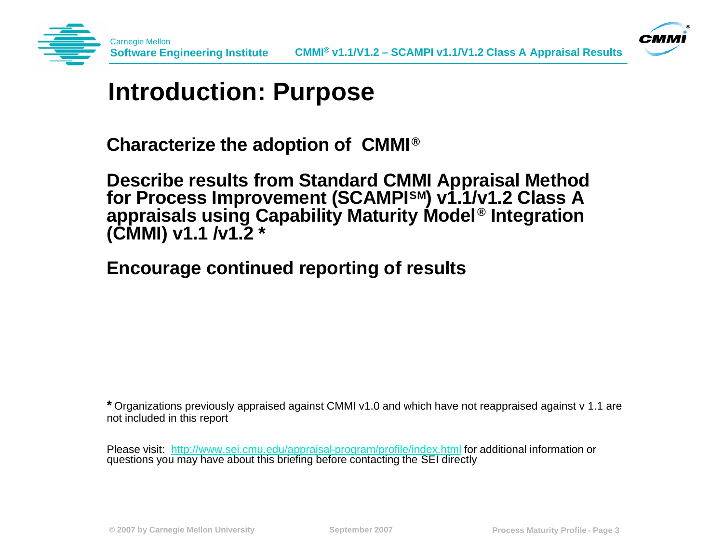



#### **Introduction: Purpose**

**Characterize the adoption of CMMI® ®**

**Describe results from Standard CMMI Appraisal Method for Process Improvement (SCAMPISM) v1.1/v1.2 Class A appraisals using Capability Maturity Model® Integration (CMMI) v1.1 /v1.2 \***

**Encourage continued reporting of results**

**\*** Organizations previously appraised against CMMI v1.0 and which have not reappraised against v 1.1 are not included in this report

Please visit: http://www.sei.cmu.edu/appraisal-program/profile/index.html for additional information or questions you may have about this briefing before contacting the SEI directly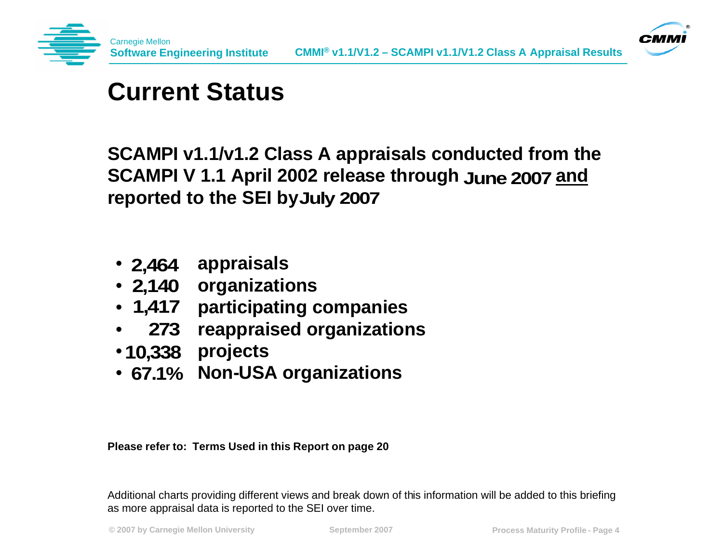



### **Current Status**

**SCAMPI v1.1/v1.2 Class A appraisals conducted from the**  SCAMPI V 1.1 April 2002 release through June 2007 and **reported to the SEI by July 2007**

- **2,464 appraisals**
- **organizations 2,140**
- **participating companies 1,417**
- **reappraised organizations 273**
- **projects 10,338**
- **67.1% Non-USA organizations**

**Please refer to: Terms Used in this Report on page 20**

Additional charts providing different views and break down of this information will be added to this briefing as more appraisal data is reported to the SEI over time.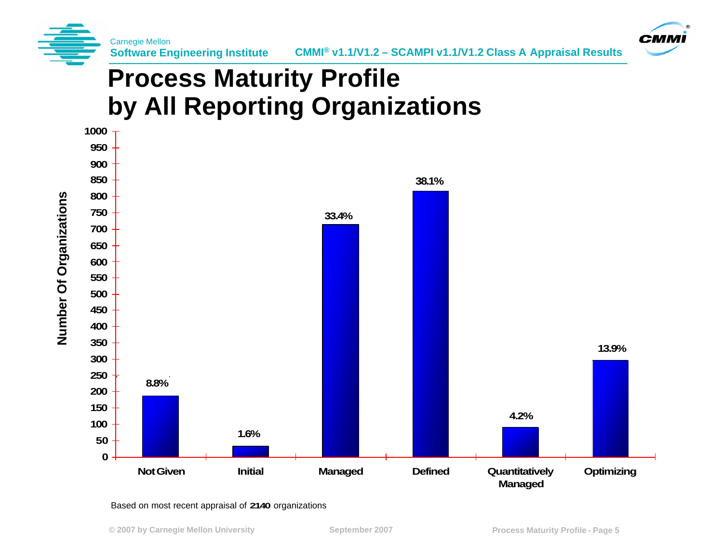



# **Process Maturity Profile by All Reporting Organizations**



#### Based on most recent appraisal of **2140** organizations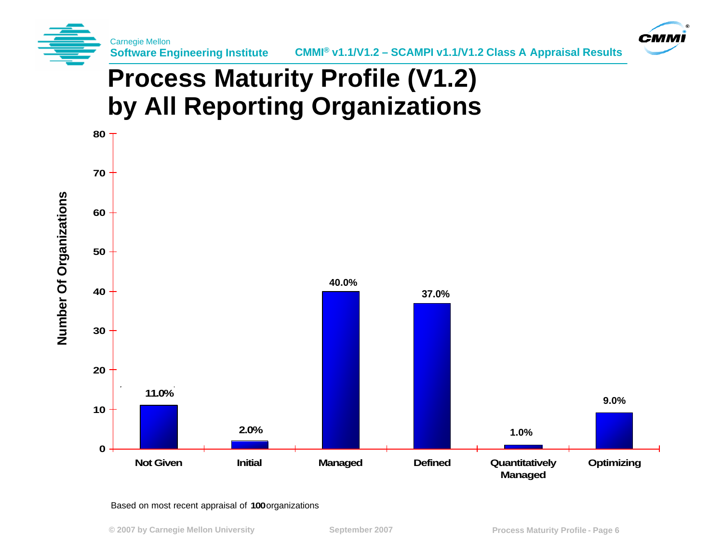



# **Process Maturity Profile (V1.2) by All Reporting Organizations**



#### Based on most recent appraisal of 100 organizations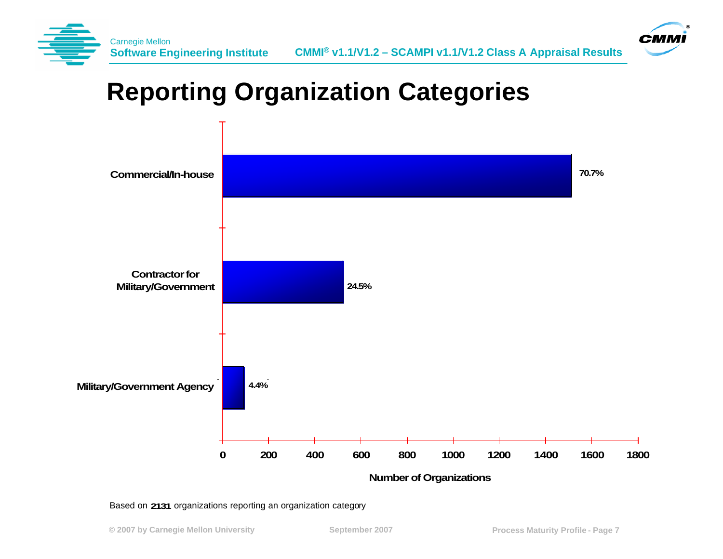



# **Reporting Organization Categories**



Based on 2131 organizations reporting an organization category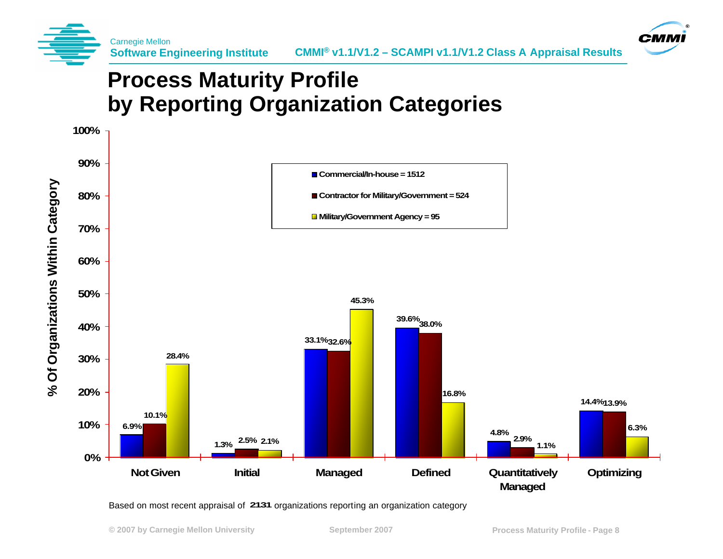



#### **Process Maturity Profile by Reporting Organization Categories**



Based on most recent appraisal of 2131 organizations reporting an organization category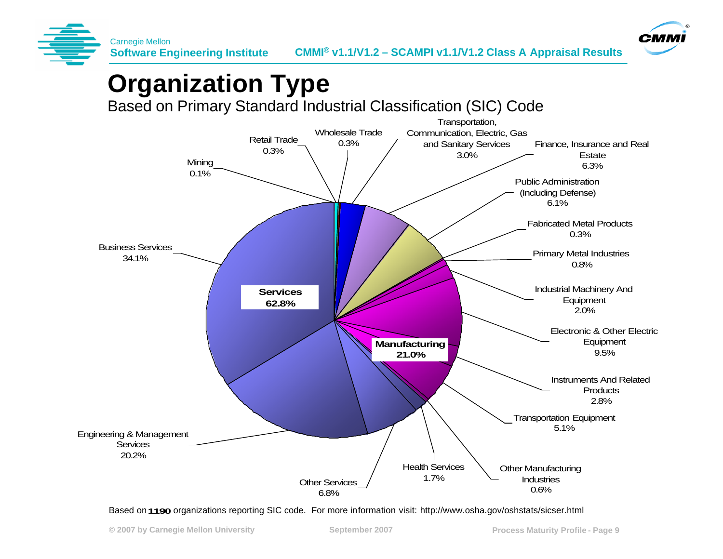



# **Organization Type**

Based on Primary Standard Industrial Classification (SIC) Code



Based on 1190 organizations reporting SIC code. For more information visit: http://www.osha.gov/oshstats/sicser.html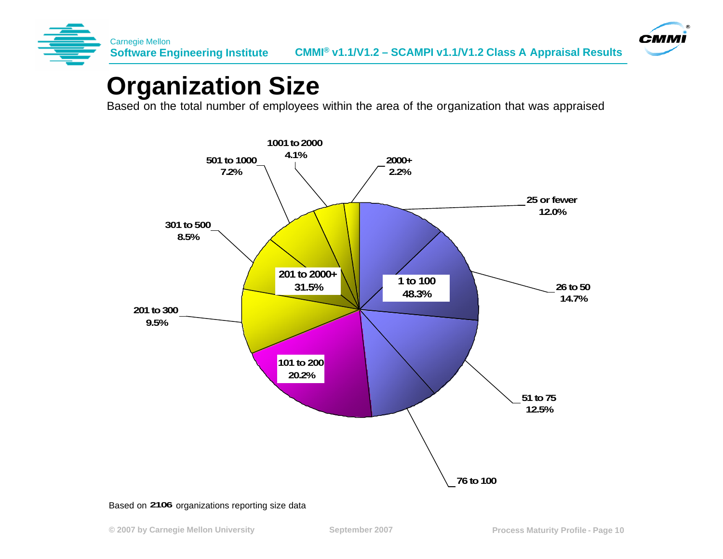



### **Organization Size**

Based on the total number of employees within the area of the organization that was appraised



Based on 2106 organizations reporting size data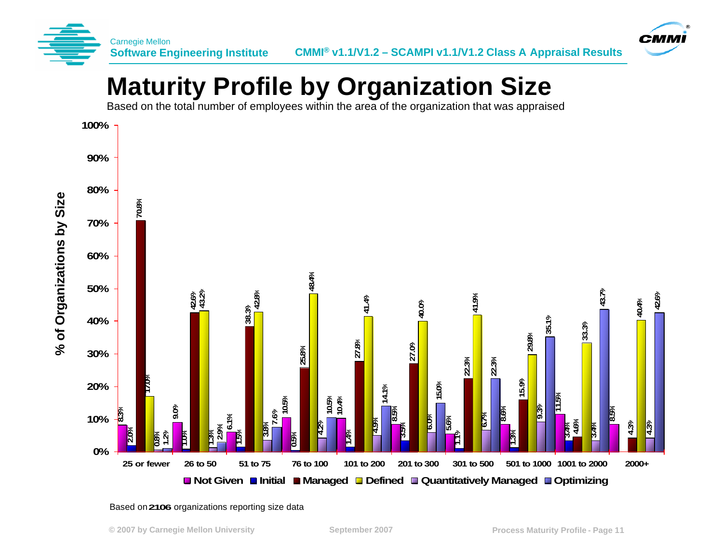



# **Maturity Profile by Organization Size**

Based on the total number of employees within the area of the organization that was appraised



Based on **2106** organizations reporting size data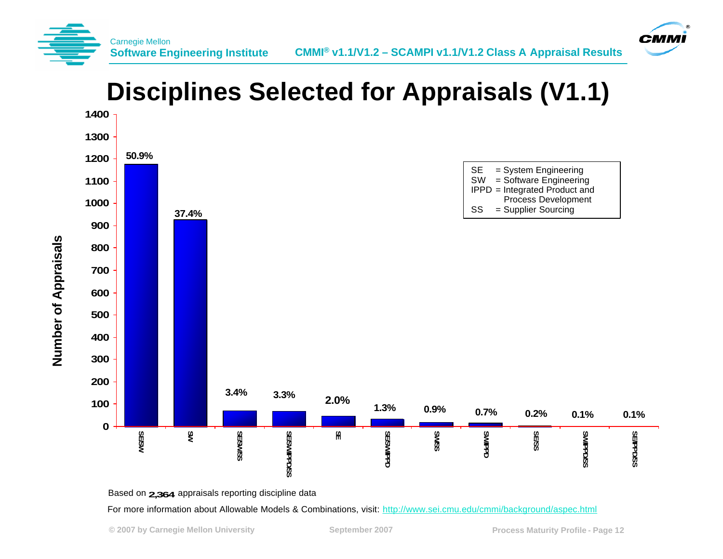



### **Disciplines Selected for Appraisals (V1.1)**



Based on **2,364** appraisals reporting discipline data

For more information about Allowable Models & Combinations, visit: http://www.sei.cmu.edu/cmmi/background/aspec.html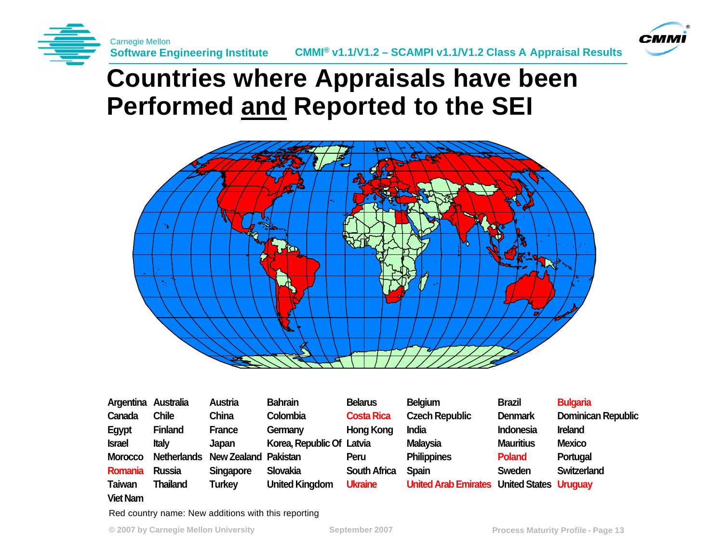



### **Countries where Appraisals have been Performed and Reported to the SEI**



| Argentina Australia |                    | <b>Austria</b>              | <b>Bahrain</b>            | <b>Belarus</b>      | <b>Belgium</b>                                    | <b>Brazil</b>    | <b>Bulgaria</b>           |
|---------------------|--------------------|-----------------------------|---------------------------|---------------------|---------------------------------------------------|------------------|---------------------------|
| Canada              | <b>Chile</b>       | China                       | Colombia                  | <b>Costa Rica</b>   | <b>Czech Republic</b>                             | <b>Denmark</b>   | <b>Dominican Republic</b> |
| <b>Egypt</b>        | <b>Finland</b>     | <b>France</b>               | Germany                   | <b>Hong Kong</b>    | <b>India</b>                                      | <b>Indonesia</b> | <b>Ireland</b>            |
| <b>Israel</b>       | <b>Italy</b>       | Japan                       | Korea, Republic Of Latvia |                     | <b>Malaysia</b>                                   | <b>Mauritius</b> | <b>Mexico</b>             |
| <b>Morocco</b>      | <b>Netherlands</b> | <b>New Zealand Pakistan</b> |                           | Peru                | <b>Philippines</b>                                | <b>Poland</b>    | Portugal                  |
| Romania             | <b>Russia</b>      | <b>Singapore</b>            | Slovakia                  | <b>South Africa</b> | <b>Spain</b>                                      | <b>Sweden</b>    | <b>Switzerland</b>        |
| <b>Taiwan</b>       | <b>Thailand</b>    | <b>Turkey</b>               | <b>United Kingdom</b>     | <b>Ukraine</b>      | <b>United Arab Emirates United States Uruguay</b> |                  |                           |

#### **Viet Nam**

Red country name: New additions with this reporting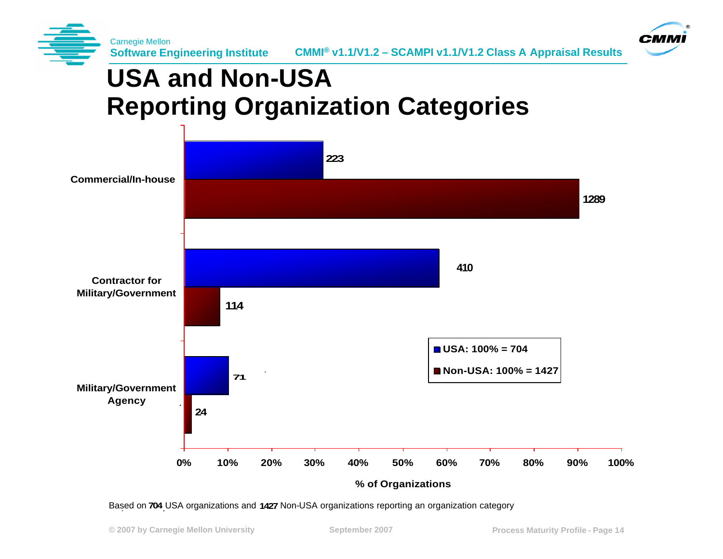



# **USA and Non-USA Reporting Organization Categories**



Based on 704 USA organizations and 1427 Non-USA organizations reporting an organization category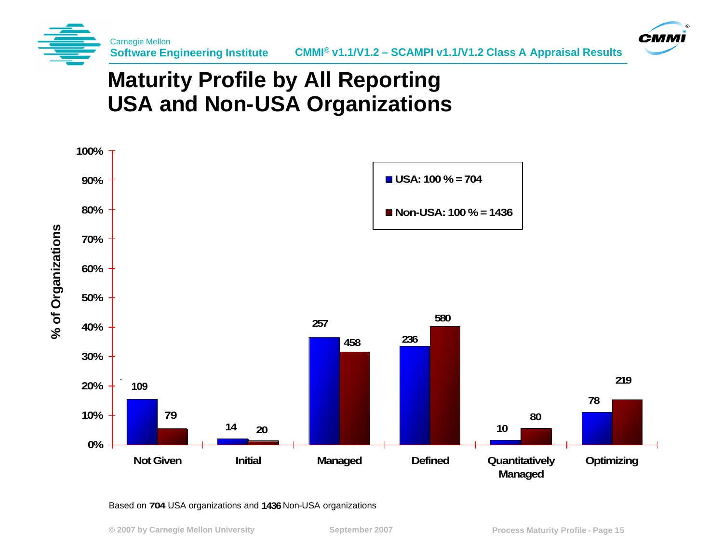



#### **Maturity Profile by All Reporting USA and Non-USA Organizations**



#### Based on 704 USA organizations and 1436 Non-USA organizations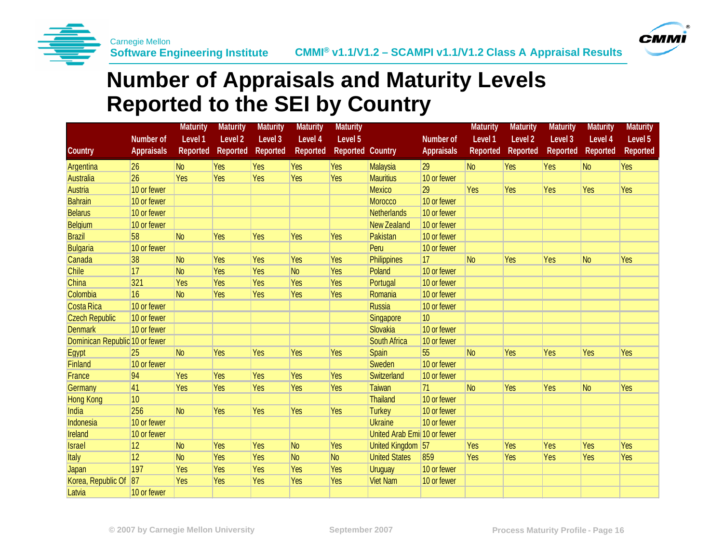



#### **Number of Appraisals and Maturity Levels Reported to the SEI by Country**

|                                |                   | <b>Maturity</b> | <b>Maturity</b>    | <b>Maturity</b> | <b>Maturity</b> | <b>Maturity</b>         |                              |                   | <b>Maturity</b> | <b>Maturity</b> | <b>Maturity</b> | <b>Maturity</b> | <b>Maturity</b> |
|--------------------------------|-------------------|-----------------|--------------------|-----------------|-----------------|-------------------------|------------------------------|-------------------|-----------------|-----------------|-----------------|-----------------|-----------------|
|                                | <b>Number of</b>  | Level 1         | Level <sub>2</sub> | Level 3         | Level 4         | Level 5                 |                              | <b>Number of</b>  | Level 1         | Level 2         | Level 3         | Level 4         | Level 5         |
| <b>Country</b>                 | <b>Appraisals</b> | <b>Reported</b> | <b>Reported</b>    | <b>Reported</b> | <b>Reported</b> | <b>Reported Country</b> |                              | <b>Appraisals</b> | <b>Reported</b> | <b>Reported</b> | <b>Reported</b> | <b>Reported</b> | <b>Reported</b> |
| Argentina                      | 26                | N <sub>o</sub>  | Yes                | Yes             | <b>Yes</b>      | <b>Yes</b>              | <b>Malaysia</b>              | 29                | N <sub>o</sub>  | Yes             | Yes             | N <sub>o</sub>  | Yes             |
| <b>Australia</b>               | 26                | Yes             | Yes                | Yes             | <b>Yes</b>      | Yes                     | <b>Mauritius</b>             | 10 or fewer       |                 |                 |                 |                 |                 |
| <b>Austria</b>                 | 10 or fewer       |                 |                    |                 |                 |                         | <b>Mexico</b>                | 29                | Yes             | Yes             | Yes             | Yes             | Yes             |
| <b>Bahrain</b>                 | 10 or fewer       |                 |                    |                 |                 |                         | Morocco                      | 10 or fewer       |                 |                 |                 |                 |                 |
| <b>Belarus</b>                 | 10 or fewer       |                 |                    |                 |                 |                         | <b>Netherlands</b>           | 10 or fewer       |                 |                 |                 |                 |                 |
| Belgium                        | 10 or fewer       |                 |                    |                 |                 |                         | <b>New Zealand</b>           | 10 or fewer       |                 |                 |                 |                 |                 |
| <b>Brazil</b>                  | 58                | N <sub>o</sub>  | Yes                | Yes             | Yes             | Yes                     | Pakistan                     | 10 or fewer       |                 |                 |                 |                 |                 |
| <b>Bulgaria</b>                | 10 or fewer       |                 |                    |                 |                 |                         | Peru                         | 10 or fewer       |                 |                 |                 |                 |                 |
| Canada                         | 38                | N <sub>o</sub>  | <b>Yes</b>         | Yes             | <b>Yes</b>      | <b>Yes</b>              | <b>Philippines</b>           | 17                | N <sub>o</sub>  | Yes             | Yes             | <b>No</b>       | Yes             |
| Chile                          | 17                | N <sub>o</sub>  | Yes                | Yes             | N <sub>o</sub>  | <b>Yes</b>              | Poland                       | 10 or fewer       |                 |                 |                 |                 |                 |
| China                          | 321               | Yes             | Yes                | Yes             | Yes             | Yes                     | Portugal                     | 10 or fewer       |                 |                 |                 |                 |                 |
| Colombia                       | 16                | N <sub>o</sub>  | Yes                | Yes             | <b>Yes</b>      | Yes                     | Romania                      | 10 or fewer       |                 |                 |                 |                 |                 |
| Costa Rica                     | 10 or fewer       |                 |                    |                 |                 |                         | <b>Russia</b>                | 10 or fewer       |                 |                 |                 |                 |                 |
| <b>Czech Republic</b>          | 10 or fewer       |                 |                    |                 |                 |                         | Singapore                    | 10                |                 |                 |                 |                 |                 |
| <b>Denmark</b>                 | 10 or fewer       |                 |                    |                 |                 |                         | Slovakia                     | 10 or fewer       |                 |                 |                 |                 |                 |
| Dominican Republic 10 or fewer |                   |                 |                    |                 |                 |                         | <b>South Africa</b>          | 10 or fewer       |                 |                 |                 |                 |                 |
| <b>Egypt</b>                   | 25                | N <sub>o</sub>  | Yes                | Yes             | Yes             | Yes                     | Spain                        | 55                | N <sub>o</sub>  | Yes             | Yes             | Yes             | Yes             |
| Finland                        | 10 or fewer       |                 |                    |                 |                 |                         | Sweden                       | 10 or fewer       |                 |                 |                 |                 |                 |
| France                         | 94                | Yes             | Yes                | Yes             | Yes             | <b>Yes</b>              | Switzerland                  | 10 or fewer       |                 |                 |                 |                 |                 |
| Germany                        | 41                | Yes             | Yes                | Yes             | Yes             | Yes                     | <b>Taiwan</b>                | 71                | N <sub>o</sub>  | Yes             | Yes             | <b>No</b>       | Yes             |
| <b>Hong Kong</b>               | 10 <sup>1</sup>   |                 |                    |                 |                 |                         | <b>Thailand</b>              | 10 or fewer       |                 |                 |                 |                 |                 |
| India                          | 256               | N <sub>o</sub>  | <b>Yes</b>         | Yes             | <b>Yes</b>      | Yes                     | <b>Turkey</b>                | 10 or fewer       |                 |                 |                 |                 |                 |
| Indonesia                      | 10 or fewer       |                 |                    |                 |                 |                         | <b>Ukraine</b>               | 10 or fewer       |                 |                 |                 |                 |                 |
| Ireland                        | 10 or fewer       |                 |                    |                 |                 |                         | United Arab Emil 10 or fewer |                   |                 |                 |                 |                 |                 |
| <b>Israel</b>                  | $ 12\rangle$      | N <sub>o</sub>  | Yes                | Yes             | N <sub>o</sub>  | <b>Yes</b>              | United Kingdom 57            |                   | Yes             | Yes             | Yes             | Yes             | Yes             |
| Italy                          | 12                | N <sub>o</sub>  | Yes                | Yes             | <b>No</b>       | <b>No</b>               | <b>United States</b>         | 859               | Yes             | Yes             | Yes             | Yes             | Yes             |
| <b>Japan</b>                   | 197               | Yes             | Yes                | Yes             | Yes             | Yes                     | <b>Uruguay</b>               | 10 or fewer       |                 |                 |                 |                 |                 |
| Korea, Republic Of             | 87                | Yes             | Yes                | Yes             | Yes             | Yes                     | <b>Viet Nam</b>              | 10 or fewer       |                 |                 |                 |                 |                 |
| Latvia                         | 10 or fewer       |                 |                    |                 |                 |                         |                              |                   |                 |                 |                 |                 |                 |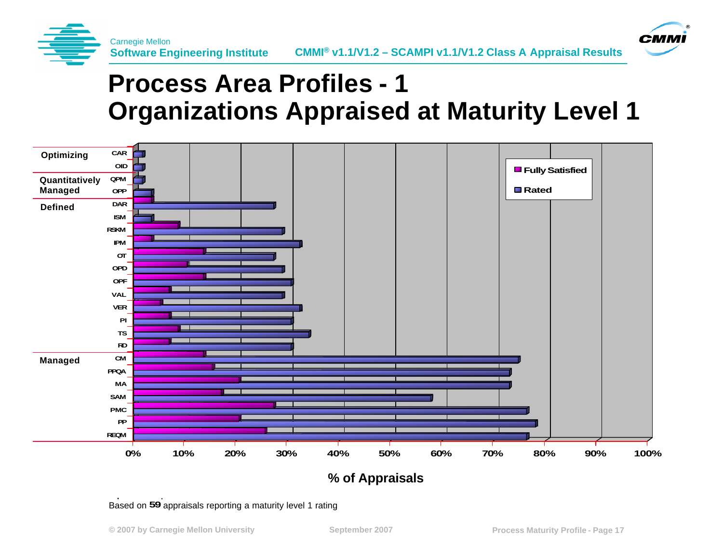



# **Process Area Profiles - 1 Organizations Appraised at Maturity Level 1**



Based on 59 appraisals reporting a maturity level 1 rating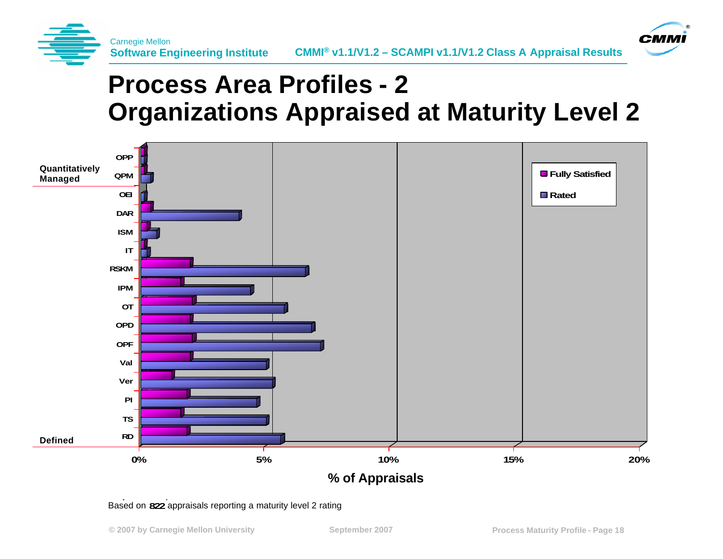



# **Process Area Profiles - 2 Organizations Appraised at Maturity Level 2**



#### Based on 822 appraisals reporting a maturity level 2 rating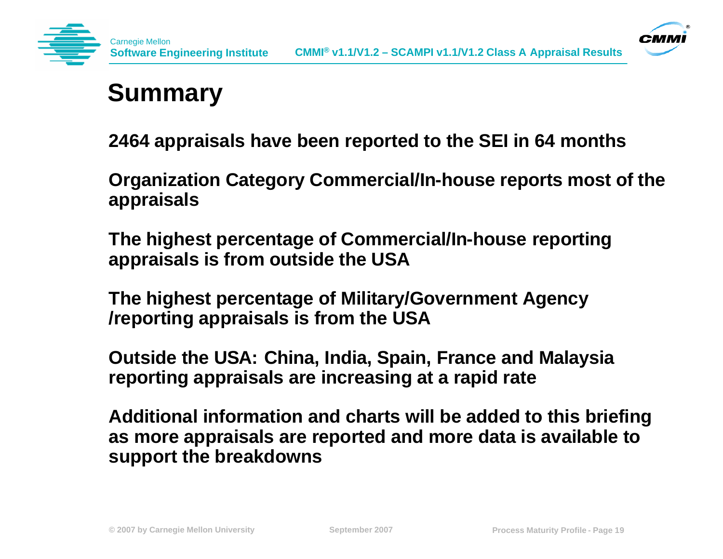



arnegie Mellon

**2464 appraisals have been reported to the SEI in 64 months**

**Organization Category Commercial/In-house reports most of the appraisals** 

**The highest percentage of Commercial/In-house reporting appraisals is from outside the USA** 

**The highest percentage of Military/Government Agency /reporting appraisals is from the USA** 

**Outside the USA: China, India, Spain, France and Malaysia reporting appraisals are increasing at a rapid rate** 

**Additional information and charts will be added to this briefing as more appraisals are reported and more data is available to support the breakdowns**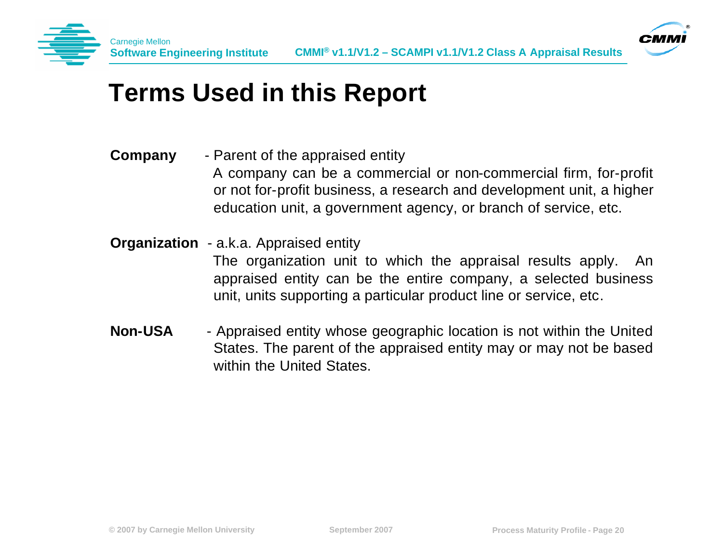



## **Terms Used in this Report**

- **Company** Parent of the appraised entity A company can be a commercial or non-commercial firm, for-profit or not for-profit business, a research and development unit, a higher education unit, a government agency, or branch of service, etc.
- **Organization** a.k.a. Appraised entity

The organization unit to which the appraisal results apply. An appraised entity can be the entire company, a selected business unit, units supporting a particular product line or service, etc.

**Non-USA** - Appraised entity whose geographic location is not within the United States. The parent of the appraised entity may or may not be based within the United States.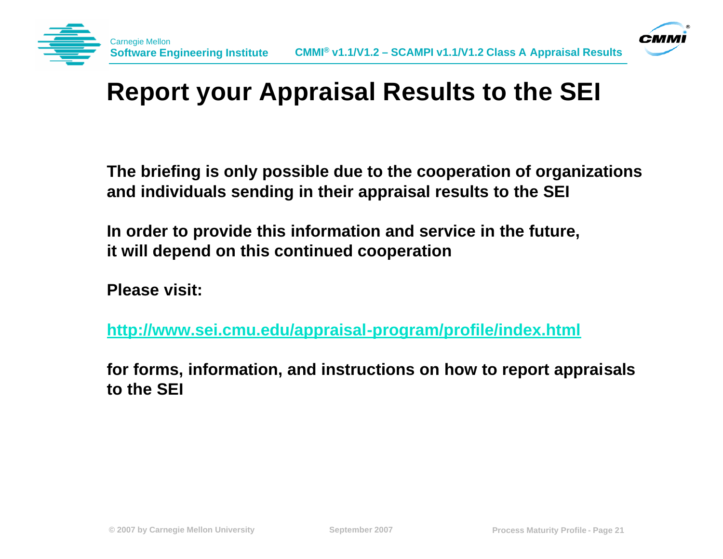



# **Report your Appraisal Results to the SEI**

**The briefing is only possible due to the cooperation of organizations and individuals sending in their appraisal results to the SEI**

**In order to provide this information and service in the future, it will depend on this continued cooperation**

**Please visit:**

**http://www.sei.cmu.edu/appraisal-program/profile/index.html**

**for forms, information, and instructions on how to report appraisals to the SEI**